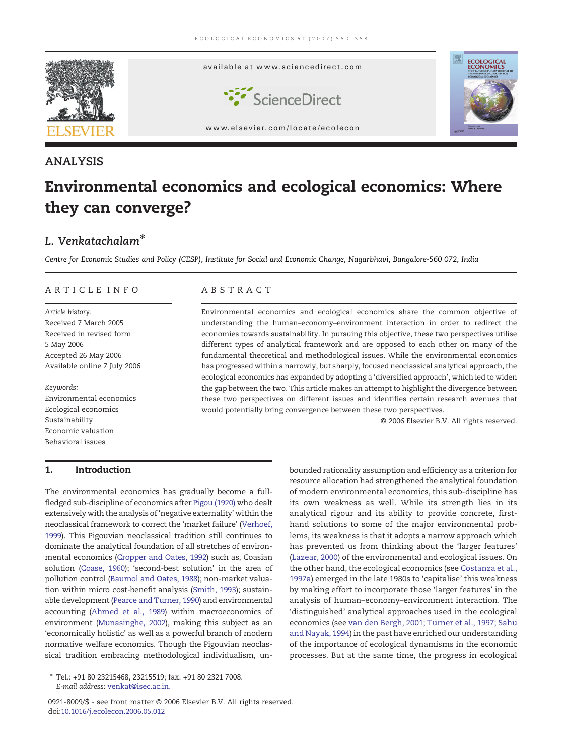

## ANALYSIS

# Environmental economics and ecological economics: Where they can converge?

## L. Venkatachalam<sup>\*</sup>

Centre for Economic Studies and Policy (CESP), Institute for Social and Economic Change, Nagarbhavi, Bangalore-560 072, India

#### ARTICLE INFO ABSTRACT

Article history: Received 7 March 2005 Received in revised form 5 May 2006 Accepted 26 May 2006 Available online 7 July 2006

Keywords: Environmental economics Ecological economics Sustainability Economic valuation Behavioral issues

### 1. Introduction

Environmental economics and ecological economics share the common objective of understanding the human–economy–environment interaction in order to redirect the economies towards sustainability. In pursuing this objective, these two perspectives utilise different types of analytical framework and are opposed to each other on many of the fundamental theoretical and methodological issues. While the environmental economics has progressed within a narrowly, but sharply, focused neoclassical analytical approach, the ecological economics has expanded by adopting a 'diversified approach', which led to widen the gap between the two. This article makes an attempt to highlight the divergence between these two perspectives on different issues and identifies certain research avenues that would potentially bring convergence between these two perspectives.

© 2006 Elsevier B.V. All rights reserved.

The environmental economics has gradually become a fullfledged sub-discipline of economics after [Pigou \(1920\)](#page--1-0) who dealt extensively with the analysis of'negative externality' within the neoclassical framework to correct the 'market failure' [\(Verhoef,](#page--1-0) [1999](#page--1-0)). This Pigouvian neoclassical tradition still continues to dominate the analytical foundation of all stretches of environmental economics [\(Cropper and Oates, 1992\)](#page--1-0) such as, Coasian solution [\(Coase, 1960](#page--1-0)); 'second-best solution' in the area of pollution control [\(Baumol and Oates, 1988\)](#page--1-0); non-market valuation within micro cost-benefit analysis ([Smith, 1993\)](#page--1-0); sustainable development [\(Pearce and Turner, 1990](#page--1-0)) and environmental accounting [\(Ahmed et al., 1989](#page--1-0)) within macroeconomics of environment [\(Munasinghe, 2002\)](#page--1-0), making this subject as an 'economically holistic' as well as a powerful branch of modern normative welfare economics. Though the Pigouvian neoclassical tradition embracing methodological individualism, un-

⁎ Tel.: +91 80 23215468, 23215519; fax: +91 80 2321 7008. E-mail address: [venkat@isec.ac.in.](mailto:venkat@isec.ac.in)

0921-8009/\$ - see front matter © 2006 Elsevier B.V. All rights reserved. doi[:10.1016/j.ecolecon.2006.05.012](http://dx.doi.org/10.1016/j.ecolecon.2006.05.012)

bounded rationality assumption and efficiency as a criterion for resource allocation had strengthened the analytical foundation of modern environmental economics, this sub-discipline has its own weakness as well. While its strength lies in its analytical rigour and its ability to provide concrete, firsthand solutions to some of the major environmental problems, its weakness is that it adopts a narrow approach which has prevented us from thinking about the 'larger features' ([Lazear, 2000\)](#page--1-0) of the environmental and ecological issues. On the other hand, the ecological economics (see [Costanza et al.,](#page--1-0) [1997a\)](#page--1-0) emerged in the late 1980s to 'capitalise' this weakness by making effort to incorporate those 'larger features' in the analysis of human–economy–environment interaction. The 'distinguished' analytical approaches used in the ecological economics (see [van den Bergh, 2001; Turner et al., 1997; Sahu](#page--1-0) [and Nayak, 1994](#page--1-0)) in the past have enriched our understanding of the importance of ecological dynamisms in the economic processes. But at the same time, the progress in ecological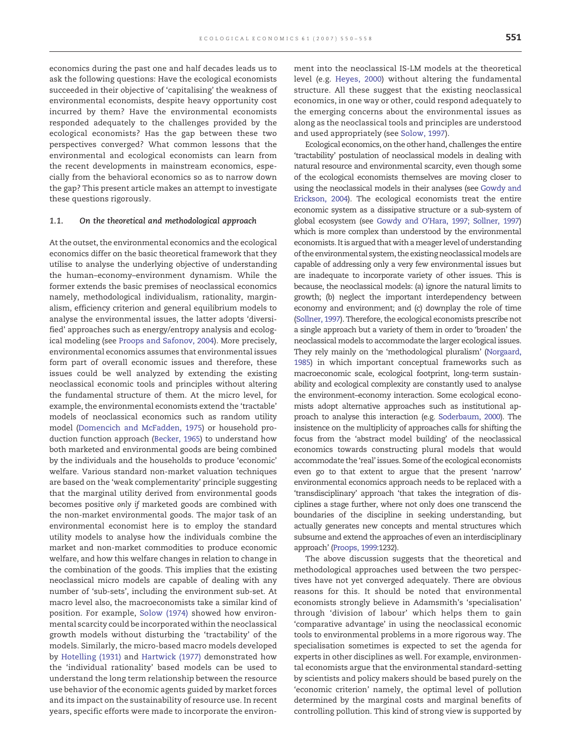economics during the past one and half decades leads us to ask the following questions: Have the ecological economists succeeded in their objective of 'capitalising' the weakness of environmental economists, despite heavy opportunity cost incurred by them? Have the environmental economists responded adequately to the challenges provided by the ecological economists? Has the gap between these two perspectives converged? What common lessons that the environmental and ecological economists can learn from the recent developments in mainstream economics, especially from the behavioral economics so as to narrow down the gap? This present article makes an attempt to investigate these questions rigorously.

#### 1.1. On the theoretical and methodological approach

At the outset, the environmental economics and the ecological economics differ on the basic theoretical framework that they utilise to analyse the underlying objective of understanding the human–economy–environment dynamism. While the former extends the basic premises of neoclassical economics namely, methodological individualism, rationality, marginalism, efficiency criterion and general equilibrium models to analyse the environmental issues, the latter adopts 'diversified' approaches such as energy/entropy analysis and ecological modeling (see [Proops and Safonov, 2004\)](#page--1-0). More precisely, environmental economics assumes that environmental issues form part of overall economic issues and therefore, these issues could be well analyzed by extending the existing neoclassical economic tools and principles without altering the fundamental structure of them. At the micro level, for example, the environmental economists extend the 'tractable' models of neoclassical economics such as random utility model ([Domencich and McFadden, 1975](#page--1-0)) or household production function approach [\(Becker, 1965](#page--1-0)) to understand how both marketed and environmental goods are being combined by the individuals and the households to produce 'economic' welfare. Various standard non-market valuation techniques are based on the 'weak complementarity' principle suggesting that the marginal utility derived from environmental goods becomes positive only if marketed goods are combined with the non-market environmental goods. The major task of an environmental economist here is to employ the standard utility models to analyse how the individuals combine the market and non-market commodities to produce economic welfare, and how this welfare changes in relation to change in the combination of the goods. This implies that the existing neoclassical micro models are capable of dealing with any number of 'sub-sets', including the environment sub-set. At macro level also, the macroeconomists take a similar kind of position. For example, [Solow \(1974\)](#page--1-0) showed how environmental scarcity could be incorporated within the neoclassical growth models without disturbing the 'tractability' of the models. Similarly, the micro-based macro models developed by [Hotelling \(1931\)](#page--1-0) and [Hartwick \(1977\)](#page--1-0) demonstrated how the 'individual rationality' based models can be used to understand the long term relationship between the resource use behavior of the economic agents guided by market forces and its impact on the sustainability of resource use. In recent years, specific efforts were made to incorporate the environ-

ment into the neoclassical IS-LM models at the theoretical level (e.g. [Heyes, 2000](#page--1-0)) without altering the fundamental structure. All these suggest that the existing neoclassical economics, in one way or other, could respond adequately to the emerging concerns about the environmental issues as along as the neoclassical tools and principles are understood and used appropriately (see [Solow, 1997\)](#page--1-0).

Ecological economics, on the other hand, challenges the entire 'tractability' postulation of neoclassical models in dealing with natural resource and environmental scarcity, even though some of the ecological economists themselves are moving closer to using the neoclassical models in their analyses (see [Gowdy and](#page--1-0) [Erickson, 2004](#page--1-0)). The ecological economists treat the entire economic system as a dissipative structure or a sub-system of global ecosystem (see [Gowdy and O'Hara, 1997; Sollner, 1997](#page--1-0)) which is more complex than understood by the environmental economists. It is argued that with a meager level of understanding of the environmental system, the existing neoclassicalmodels are capable of addressing only a very few environmental issues but are inadequate to incorporate variety of other issues. This is because, the neoclassical models: (a) ignore the natural limits to growth; (b) neglect the important interdependency between economy and environment; and (c) downplay the role of time [\(Sollner, 1997\)](#page--1-0). Therefore, the ecological economists prescribe not a single approach but a variety of them in order to 'broaden' the neoclassical models to accommodate the larger ecological issues. They rely mainly on the 'methodological pluralism' [\(Norgaard,](#page--1-0) [1985](#page--1-0)) in which important conceptual frameworks such as macroeconomic scale, ecological footprint, long-term sustainability and ecological complexity are constantly used to analyse the environment–economy interaction. Some ecological economists adopt alternative approaches such as institutional approach to analyse this interaction (e.g. [Soderbaum, 2000\)](#page--1-0). The insistence on the multiplicity of approaches calls for shifting the focus from the 'abstract model building' of the neoclassical economics towards constructing plural models that would accommodate the 'real' issues. Some of the ecological economists even go to that extent to argue that the present 'narrow' environmental economics approach needs to be replaced with a 'transdisciplinary' approach 'that takes the integration of disciplines a stage further, where not only does one transcend the boundaries of the discipline in seeking understanding, but actually generates new concepts and mental structures which subsume and extend the approaches of even an interdisciplinary approach' [\(Proops, 1999:](#page--1-0)1232).

The above discussion suggests that the theoretical and methodological approaches used between the two perspectives have not yet converged adequately. There are obvious reasons for this. It should be noted that environmental economists strongly believe in Adamsmith's 'specialisation' through 'division of labour' which helps them to gain 'comparative advantage' in using the neoclassical economic tools to environmental problems in a more rigorous way. The specialisation sometimes is expected to set the agenda for experts in other disciplines as well. For example, environmental economists argue that the environmental standard-setting by scientists and policy makers should be based purely on the 'economic criterion' namely, the optimal level of pollution determined by the marginal costs and marginal benefits of controlling pollution. This kind of strong view is supported by